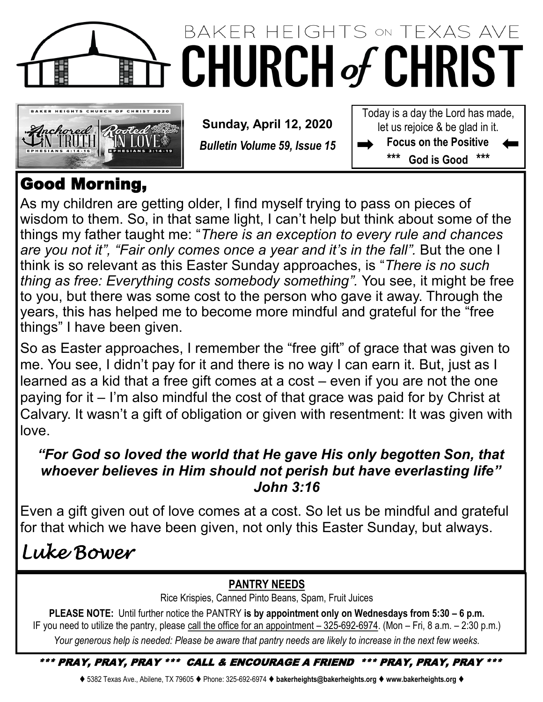

# BAKER HEIGHTS ON TEXAS AVE **CHURCH of CHRIST**



**Sunday, April 12, 2020**

*Bulletin Volume 59, Issue 15*

Today is a day the Lord has made, let us rejoice & be glad in it. **Focus on the Positive \*\*\* God is Good \*\*\***

## Good Morning,

As my children are getting older, I find myself trying to pass on pieces of wisdom to them. So, in that same light, I can't help but think about some of the things my father taught me: "*There is an exception to every rule and chances are you not it", "Fair only comes once a year and it's in the fall".* But the one I think is so relevant as this Easter Sunday approaches, is "*There is no such thing as free: Everything costs somebody something".* You see, it might be free to you, but there was some cost to the person who gave it away. Through the years, this has helped me to become more mindful and grateful for the "free things" I have been given.

So as Easter approaches, I remember the "free gift" of grace that was given to me. You see, I didn't pay for it and there is no way I can earn it. But, just as I learned as a kid that a free gift comes at a cost – even if you are not the one paying for it – I'm also mindful the cost of that grace was paid for by Christ at Calvary. It wasn't a gift of obligation or given with resentment: It was given with love.

## *"For God so loved the world that He gave His only begotten Son, that whoever believes in Him should not perish but have everlasting life" John 3:16*

Even a gift given out of love comes at a cost. So let us be mindful and grateful for that which we have been given, not only this Easter Sunday, but always.

# *Luke Bower*

## **PANTRY NEEDS**

Rice Krispies, Canned Pinto Beans, Spam, Fruit Juices

**PLEASE NOTE:** Until further notice the PANTRY **is by appointment only on Wednesdays from 5:30 – 6 p.m.**  IF you need to utilize the pantry, please call the office for an appointment – 325-692-6974. (Mon – Fri, 8 a.m. – 2:30 p.m.) *Your generous help is needed: Please be aware that pantry needs are likely to increase in the next few weeks.*

### \*\*\* PRAY, PRAY, PRAY \*\*\* CALL & ENCOURAGE A FRIEND \*\*\* PRAY, PRAY, PRAY \*\*\*

⧫ 5382 Texas Ave., Abilene, TX 79605 ⧫ Phone: 325-692-6974 ⧫ **bakerheights@bakerheights.org** ⧫ **www.bakerheights.org** ⧫